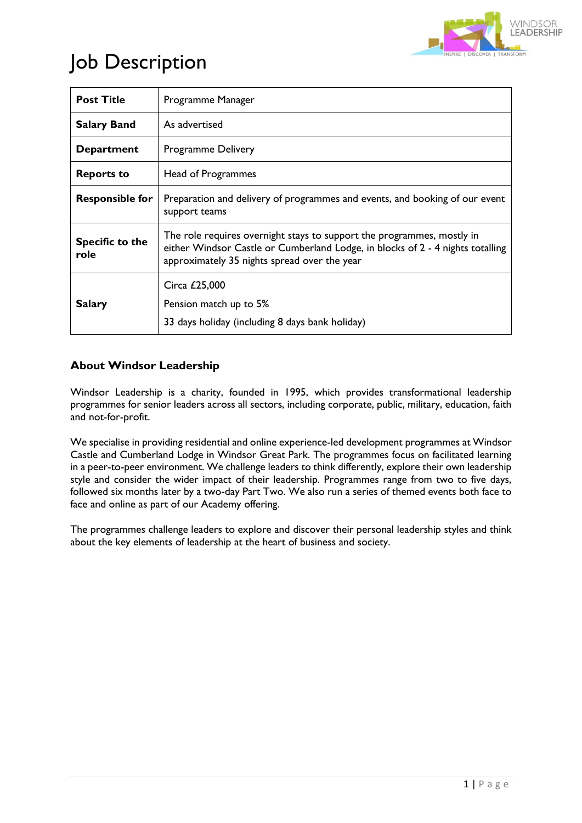

# Job Description

| <b>Post Title</b>              | Programme Manager                                                                                                                                                                                        |
|--------------------------------|----------------------------------------------------------------------------------------------------------------------------------------------------------------------------------------------------------|
| <b>Salary Band</b>             | As advertised                                                                                                                                                                                            |
| <b>Department</b>              | Programme Delivery                                                                                                                                                                                       |
| <b>Reports to</b>              | Head of Programmes                                                                                                                                                                                       |
| <b>Responsible for</b>         | Preparation and delivery of programmes and events, and booking of our event<br>support teams                                                                                                             |
| <b>Specific to the</b><br>role | The role requires overnight stays to support the programmes, mostly in<br>either Windsor Castle or Cumberland Lodge, in blocks of 2 - 4 nights totalling<br>approximately 35 nights spread over the year |
| <b>Salary</b>                  | Circa £25,000<br>Pension match up to 5%<br>33 days holiday (including 8 days bank holiday)                                                                                                               |

## **About Windsor Leadership**

Windsor Leadership is a charity, founded in 1995, which provides transformational leadership programmes for senior leaders across all sectors, including corporate, public, military, education, faith and not-for-profit.

We specialise in providing residential and online experience-led development programmes at Windsor Castle and Cumberland Lodge in Windsor Great Park. The programmes focus on facilitated learning in a peer-to-peer environment. We challenge leaders to think differently, explore their own leadership style and consider the wider impact of their leadership. Programmes range from two to five days, followed six months later by a two-day Part Two. We also run a series of themed events both face to face and online as part of our Academy offering.

The programmes challenge leaders to explore and discover their personal leadership styles and think about the key elements of leadership at the heart of business and society.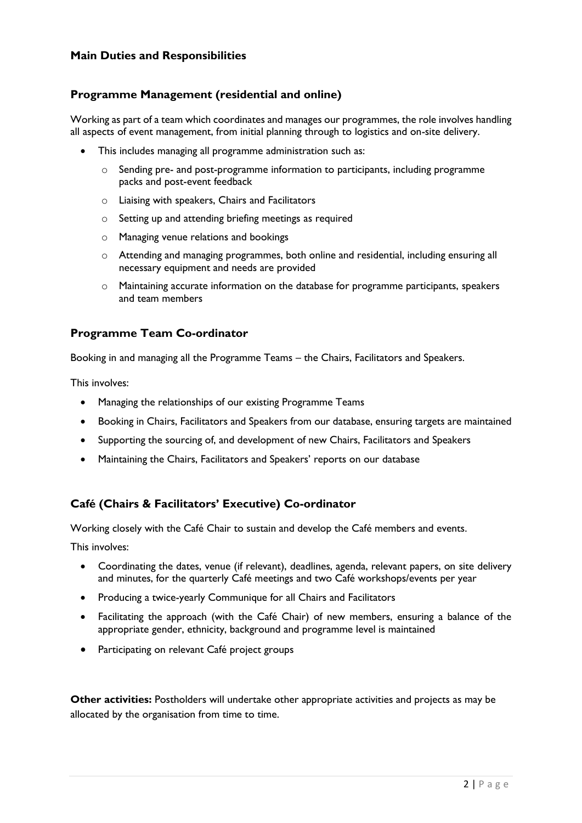#### **Main Duties and Responsibilities**

### **Programme Management (residential and online)**

Working as part of a team which coordinates and manages our programmes, the role involves handling all aspects of event management, from initial planning through to logistics and on-site delivery.

- This includes managing all programme administration such as:
	- $\circ$  Sending pre- and post-programme information to participants, including programme packs and post-event feedback
	- o Liaising with speakers, Chairs and Facilitators
	- o Setting up and attending briefing meetings as required
	- o Managing venue relations and bookings
	- o Attending and managing programmes, both online and residential, including ensuring all necessary equipment and needs are provided
	- o Maintaining accurate information on the database for programme participants, speakers and team members

#### **Programme Team Co-ordinator**

Booking in and managing all the Programme Teams – the Chairs, Facilitators and Speakers.

This involves:

- Managing the relationships of our existing Programme Teams
- Booking in Chairs, Facilitators and Speakers from our database, ensuring targets are maintained
- Supporting the sourcing of, and development of new Chairs, Facilitators and Speakers
- Maintaining the Chairs, Facilitators and Speakers' reports on our database

### **Café (Chairs & Facilitators' Executive) Co-ordinator**

Working closely with the Café Chair to sustain and develop the Café members and events.

This involves:

- Coordinating the dates, venue (if relevant), deadlines, agenda, relevant papers, on site delivery and minutes, for the quarterly Café meetings and two Café workshops/events per year
- Producing a twice-yearly Communique for all Chairs and Facilitators
- Facilitating the approach (with the Café Chair) of new members, ensuring a balance of the appropriate gender, ethnicity, background and programme level is maintained
- Participating on relevant Café project groups

**Other activities:** Postholders will undertake other appropriate activities and projects as may be allocated by the organisation from time to time.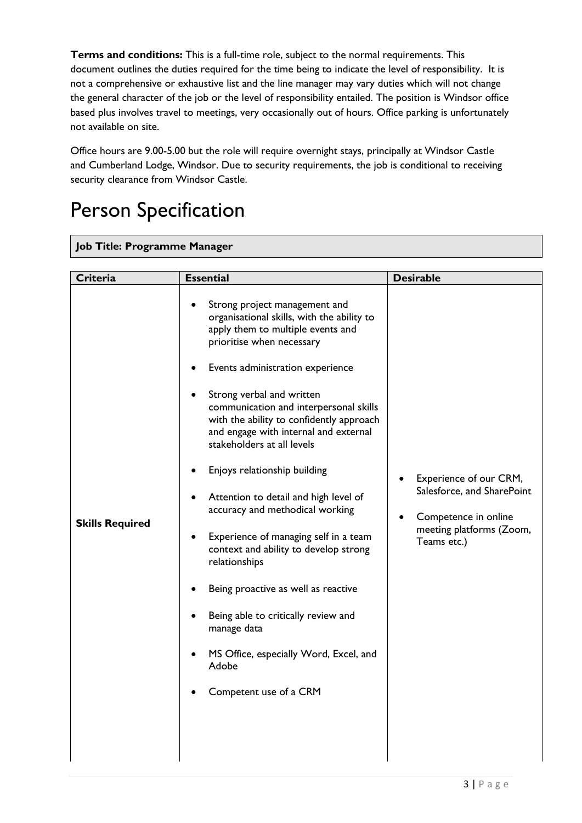**Terms and conditions:** This is a full-time role, subject to the normal requirements. This document outlines the duties required for the time being to indicate the level of responsibility. It is not a comprehensive or exhaustive list and the line manager may vary duties which will not change the general character of the job or the level of responsibility entailed. The position is Windsor office based plus involves travel to meetings, very occasionally out of hours. Office parking is unfortunately not available on site.

Office hours are 9.00-5.00 but the role will require overnight stays, principally at Windsor Castle and Cumberland Lodge, Windsor. Due to security requirements, the job is conditional to receiving security clearance from Windsor Castle.

# Person Specification

#### **Job Title: Programme Manager**

| Criteria               |
|------------------------|
| <b>Skills Required</b> |